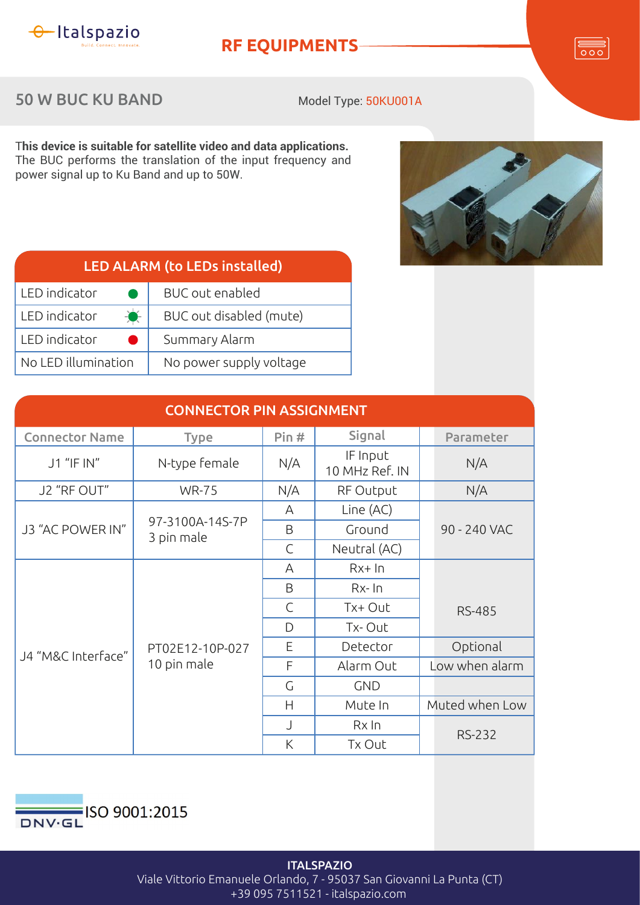

## **RF EQUIPMENTS**

 $\overline{\overline{\circ\circ}}$ 

## 50 W BUC KU BAND

Model Type: 50KU001A

T**his device is suitable for satellite video and data applications.** The BUC performs the translation of the input frequency and power signal up to Ku Band and up to 50W.



| <b>LED ALARM (to LEDs installed)</b> |                         |  |  |
|--------------------------------------|-------------------------|--|--|
| LED indicator                        | <b>BUC</b> out enabled  |  |  |
| $\bullet$<br>LED indicator           | BUC out disabled (mute) |  |  |
| LED indicator                        | Summary Alarm           |  |  |
| No LED illumination                  | No power supply voltage |  |  |

| <b>CONNECTOR PIN ASSIGNMENT</b> |                                |              |                            |                |  |  |
|---------------------------------|--------------------------------|--------------|----------------------------|----------------|--|--|
| <b>Connector Name</b>           | <b>Type</b>                    | Pin#         | Signal                     | Parameter      |  |  |
| J1 "IF IN"                      | N-type female                  | N/A          | IF Input<br>10 MHz Ref. IN | N/A            |  |  |
| J2 "RF OUT"                     | <b>WR-75</b>                   | N/A          | RF Output                  | N/A            |  |  |
| J3 "AC POWER IN"                |                                | A            | Line (AC)                  |                |  |  |
|                                 | 97-3100A-14S-7P<br>3 pin male  | B            | Ground                     | 90 - 240 VAC   |  |  |
|                                 |                                | $\mathsf{C}$ | Neutral (AC)               |                |  |  |
| J4 "M&C Interface"              | PT02E12-10P-027<br>10 pin male | A            | $Rx+In$                    |                |  |  |
|                                 |                                | B            | $Rx$ - $\ln$               |                |  |  |
|                                 |                                | $\mathsf{C}$ | Tx+ Out                    | <b>RS-485</b>  |  |  |
|                                 |                                | D            | Tx-Out                     |                |  |  |
|                                 |                                | E            | Detector                   | Optional       |  |  |
|                                 |                                | F            | Alarm Out                  | Low when alarm |  |  |
|                                 |                                | G            | <b>GND</b>                 |                |  |  |
|                                 |                                | H            | Mute In                    | Muted when Low |  |  |
|                                 |                                | $\bigcup$    | $Rx$ In                    | <b>RS-232</b>  |  |  |
|                                 |                                | Κ            | Tx Out                     |                |  |  |



**ITALSPAZIO** Viale Vittorio Emanuele Orlando, 7 - 95037 San Giovanni La Punta (CT) +39 095 7511521 - italspazio.com